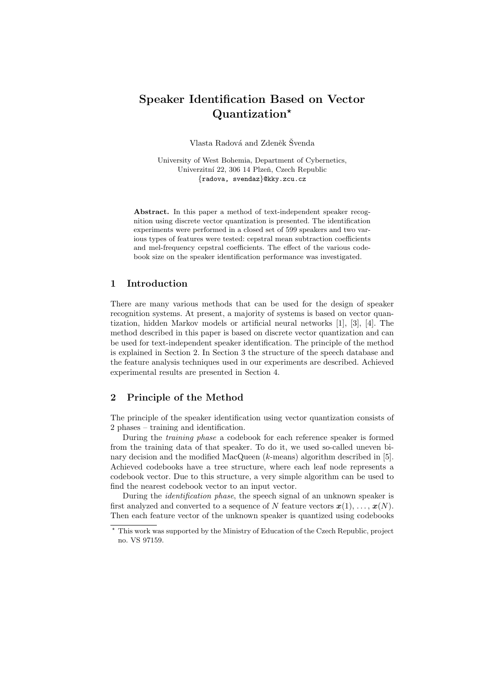# Speaker Identification Based on Vector Quantization?

Vlasta Radová and Zdeněk Švenda

University of West Bohemia, Department of Cybernetics, Univerzitní 22, 306 14 Plzeň, Czech Republic {radova, svendaz}@kky.zcu.cz

Abstract. In this paper a method of text-independent speaker recognition using discrete vector quantization is presented. The identification experiments were performed in a closed set of 599 speakers and two various types of features were tested: cepstral mean subtraction coefficients and mel-frequency cepstral coefficients. The effect of the various codebook size on the speaker identification performance was investigated.

## 1 Introduction

There are many various methods that can be used for the design of speaker recognition systems. At present, a majority of systems is based on vector quantization, hidden Markov models or artificial neural networks [1], [3], [4]. The method described in this paper is based on discrete vector quantization and can be used for text-independent speaker identification. The principle of the method is explained in Section 2. In Section 3 the structure of the speech database and the feature analysis techniques used in our experiments are described. Achieved experimental results are presented in Section 4.

## 2 Principle of the Method

The principle of the speaker identification using vector quantization consists of 2 phases – training and identification.

During the training phase a codebook for each reference speaker is formed from the training data of that speaker. To do it, we used so-called uneven binary decision and the modified MacQueen  $(k$ -means) algorithm described in [5]. Achieved codebooks have a tree structure, where each leaf node represents a codebook vector. Due to this structure, a very simple algorithm can be used to find the nearest codebook vector to an input vector.

During the identification phase, the speech signal of an unknown speaker is first analyzed and converted to a sequence of N feature vectors  $x(1), \ldots, x(N)$ . Then each feature vector of the unknown speaker is quantized using codebooks

<sup>?</sup> This work was supported by the Ministry of Education of the Czech Republic, project no. VS 97159.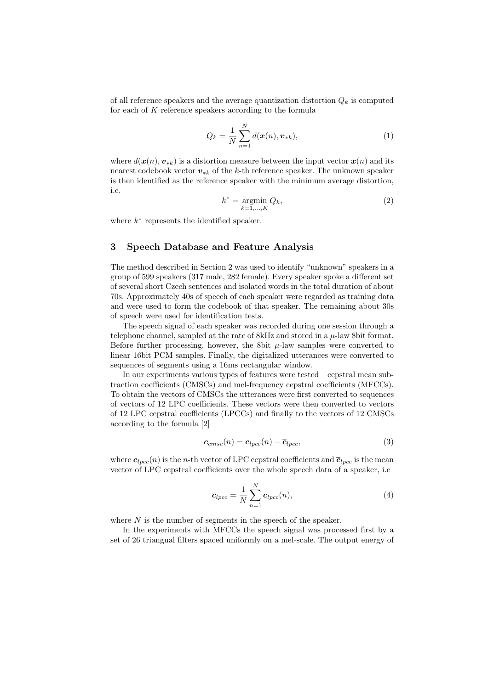of all reference speakers and the average quantization distortion  $Q_k$  is computed for each of K reference speakers according to the formula

$$
Q_k = \frac{1}{N} \sum_{n=1}^{N} d(\bm{x}(n), \bm{v}_{*k}),
$$
\n(1)

where  $d(\mathbf{x}(n), \mathbf{v}_{*k})$  is a distortion measure between the input vector  $\mathbf{x}(n)$  and its nearest codebook vector  $v_{*k}$  of the k-th reference speaker. The unknown speaker is then identified as the reference speaker with the minimum average distortion, i.e.

$$
k^* = \underset{k=1,\dots,K}{\operatorname{argmin}} Q_k,\tag{2}
$$

where  $k^*$  represents the identified speaker.

## 3 Speech Database and Feature Analysis

The method described in Section 2 was used to identify "unknown" speakers in a group of 599 speakers (317 male, 282 female). Every speaker spoke a different set of several short Czech sentences and isolated words in the total duration of about 70s. Approximately 40s of speech of each speaker were regarded as training data and were used to form the codebook of that speaker. The remaining about 30s of speech were used for identification tests.

The speech signal of each speaker was recorded during one session through a telephone channel, sampled at the rate of  $8kHz$  and stored in a  $\mu$ -law  $8bit$  format. Before further processing, however, the 8bit  $\mu$ -law samples were converted to linear 16bit PCM samples. Finally, the digitalized utterances were converted to sequences of segments using a 16ms rectangular window.

In our experiments various types of features were tested – cepstral mean subtraction coefficients (CMSCs) and mel-frequency cepstral coefficients (MFCCs). To obtain the vectors of CMSCs the utterances were first converted to sequences of vectors of 12 LPC coefficients. These vectors were then converted to vectors of 12 LPC cepstral coefficients (LPCCs) and finally to the vectors of 12 CMSCs according to the formula [2]

$$
c_{cmsc}(n) = c_{lpcc}(n) - \overline{c}_{lpcc}, \qquad (3)
$$

where  $c_{lpec}(n)$  is the n-th vector of LPC cepstral coefficients and  $\bar{c}_{lpec}$  is the mean vector of LPC cepstral coefficients over the whole speech data of a speaker, i.e

$$
\overline{c}_{lpcc} = \frac{1}{N} \sum_{n=1}^{N} c_{lpcc}(n),
$$
\n(4)

where  $N$  is the number of segments in the speech of the speaker.

In the experiments with MFCCs the speech signal was processed first by a set of 26 triangual filters spaced uniformly on a mel-scale. The output energy of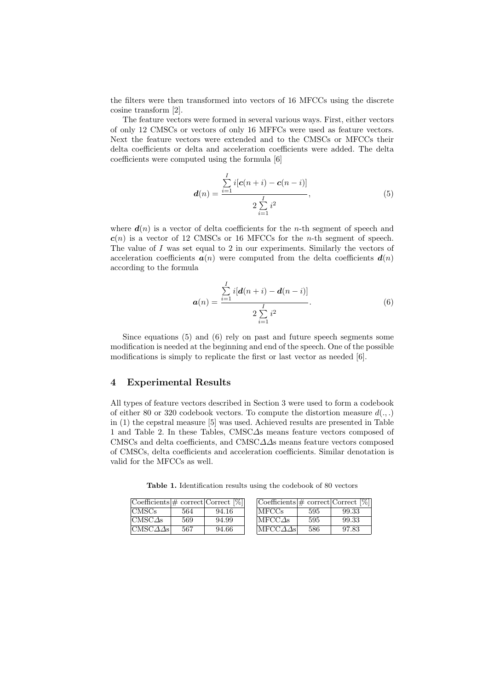the filters were then transformed into vectors of 16 MFCCs using the discrete cosine transform [2].

The feature vectors were formed in several various ways. First, either vectors of only 12 CMSCs or vectors of only 16 MFFCs were used as feature vectors. Next the feature vectors were extended and to the CMSCs or MFCCs their delta coefficients or delta and acceleration coefficients were added. The delta coefficients were computed using the formula [6]

$$
d(n) = \frac{\sum_{i=1}^{I} i[c(n+i) - c(n-i)]}{2\sum_{i=1}^{I} i^2},
$$
\n(5)

where  $d(n)$  is a vector of delta coefficients for the *n*-th segment of speech and  $c(n)$  is a vector of 12 CMSCs or 16 MFCCs for the *n*-th segment of speech. The value of  $I$  was set equal to  $2$  in our experiments. Similarly the vectors of acceleration coefficients  $a(n)$  were computed from the delta coefficients  $d(n)$ according to the formula

$$
a(n) = \frac{\sum_{i=1}^{I} i[d(n+i) - d(n-i)]}{2\sum_{i=1}^{I} i^2}.
$$
 (6)

Since equations (5) and (6) rely on past and future speech segments some modification is needed at the beginning and end of the speech. One of the possible modifications is simply to replicate the first or last vector as needed [6].

#### 4 Experimental Results

All types of feature vectors described in Section 3 were used to form a codebook of either 80 or 320 codebook vectors. To compute the distortion measure  $d(.,.)$ in (1) the cepstral measure [5] was used. Achieved results are presented in Table 1 and Table 2. In these Tables, CMSC∆s means feature vectors composed of CMSCs and delta coefficients, and CMSC∆∆s means feature vectors composed of CMSCs, delta coefficients and acceleration coefficients. Similar denotation is valid for the MFCCs as well.

Table 1. Identification results using the codebook of 80 vectors

| $ {\rm Coefficients} \# {\rm correct}$ Correct $ \% $ |     |       | $\text{Coefficients}$ = correct $\text{Correct}$ [%] |     |       |
|-------------------------------------------------------|-----|-------|------------------------------------------------------|-----|-------|
| ICMSCs                                                | 564 | 94.16 | <b>IMFCCs</b>                                        | 595 | 99.33 |
| $ICMSC\Delta s$                                       | 569 | 94.99 | $IMFCC\Delta s$                                      | 595 | 99.33 |
| $ CMSC\Delta\Delta s $                                | 567 | 94.66 | $ \text{MFCC}\Delta\Delta\text{s} $                  | 586 | 97.83 |